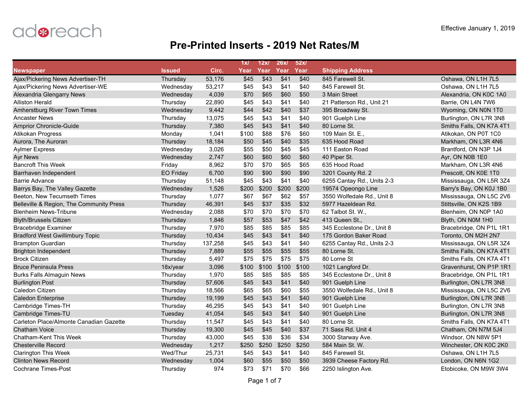

|                                          |                  |         | 1x/   | 12x   | 26x/             | 52x/  |                            |                          |
|------------------------------------------|------------------|---------|-------|-------|------------------|-------|----------------------------|--------------------------|
| <b>Newspaper</b>                         | <b>Issued</b>    | Circ.   | Year  | Year  | Year             | Year  | <b>Shipping Address</b>    |                          |
| Ajax/Pickering News Advertiser-TH        | Thursday         | 53,176  | \$45  | \$43  | $\overline{$41}$ | \$40  | 845 Farewell St.           | Oshawa, ON L1H 7L5       |
| Ajax/Pickering News Advertiser-WE        | Wednesday        | 53,217  | \$45  | \$43  | \$41             | \$40  | 845 Farewell St.           | Oshawa, ON L1H 7L5       |
| Alexandria Glengarry News                | Wednesday        | 4,039   | \$70  | \$65  | \$60             | \$50  | 3 Main Street              | Alexandria, ON K0C 1A0   |
| <b>Alliston Herald</b>                   | Thursday         | 22,890  | \$45  | \$43  | \$41             | \$40  | 21 Patterson Rd., Unit 21  | Barrie, ON L4N 7W6       |
| Amherstburg River Town Times             | Wednesday        | 9,442   | \$44  | \$42  | \$40             | \$37  | 395 Broadway St.           | Wyoming, ON N0N 1T0      |
| <b>Ancaster News</b>                     | Thursday         | 13,075  | \$45  | \$43  | \$41             | \$40  | 901 Guelph Line            | Burlington, ON L7R 3N8   |
| <b>Arnprior Chronicle-Guide</b>          | Thursday         | 7,380   | \$45  | \$43  | \$41             | \$40  | 80 Lorne St.               | Smiths Falls, ON K7A 4T1 |
| Atikokan Progress                        | Monday           | 1,041   | \$100 | \$88  | \$76             | \$60  | 109 Main St. E.,           | Atikokan, ON P0T 1C0     |
| Aurora, The Auroran                      | Thursday         | 18,184  | \$50  | \$45  | \$40             | \$35  | 635 Hood Road              | Markham, ON L3R 4N6      |
| <b>Aylmer Express</b>                    | Wednesday        | 3,026   | \$55  | \$50  | \$45             | \$45  | 111 Easton Road            | Brantford, ON N3P 1J4    |
| <b>Ayr News</b>                          | Wednesday        | 2,747   | \$60  | \$60  | \$60             | \$60  | 40 Piper St.               | Ayr, ON N0B 1E0          |
| <b>Bancroft This Week</b>                | Friday           | 8,962   | \$70  | \$70  | \$65             | \$65  | 635 Hood Road              | Markham, ON L3R 4N6      |
| Barrhaven Independent                    | <b>EO Friday</b> | 6,700   | \$90  | \$90  | \$90             | \$90  | 3201 County Rd. 2          | Prescott, ON K0E 1T0     |
| Barrie Advance                           | Thursday         | 51,148  | \$45  | \$43  | \$41             | \$40  | 6255 Cantay Rd., Units 2-3 | Mississauga, ON L5R 3Z4  |
| Barrys Bay, The Valley Gazette           | Wednesday        | 1,526   | \$200 | \$200 | \$200            | \$200 | 19574 Opeongo Line         | Barry's Bay, ON K0J 1B0  |
| Beeton, New Tecumseth Times              | Thursday         | 1,077   | \$67  | \$67  | \$62             | \$57  | 3550 Wolfedale Rd., Unit 8 | Mississauga, ON L5C 2V6  |
| Belleville & Region, The Community Press | Thursday         | 46,391  | \$45  | \$37  | \$35             | \$32  | 5977 Hazeldean Rd.         | Stittsville, ON K2S 1B9  |
| <b>Blenheim News-Tribune</b>             | Wednesday        | 2,088   | \$70  | \$70  | \$70             | \$70  | 62 Talbot St. W.,          | Blenheim, ON N0P 1A0     |
| <b>Blyth/Brussels Citizen</b>            | Thursday         | 1,846   | \$57  | \$53  | \$47             | \$42  | 413 Queen St.,             | Blyth, ON N0M 1H0        |
| <b>Bracebridge Examiner</b>              | Thursday         | 7,970   | \$85  | \$85  | \$85             | \$85  | 345 Ecclestone Dr., Unit 8 | Bracebridge, ON P1L 1R1  |
| <b>Bradford West Gwillimbury Topic</b>   | Thursday         | 10,434  | \$45  | \$43  | \$41             | \$40  | 175 Gordon Baker Road      | Toronto, ON M2H 2N7      |
| <b>Brampton Guardian</b>                 | Thursday         | 137,258 | \$45  | \$43  | \$41             | \$40  | 6255 Cantay Rd., Units 2-3 | Mississauga, ON L5R 3Z4  |
| <b>Brighton Independent</b>              | Thursday         | 7,889   | \$55  | \$55  | \$55             | \$55  | 80 Lorne St.               | Smiths Falls, ON K7A 4T1 |
| <b>Brock Citizen</b>                     | Thursday         | 5,497   | \$75  | \$75  | \$75             | \$75  | 80 Lorne St                | Smiths Falls, ON K7A 4T1 |
| <b>Bruce Peninsula Press</b>             | 18x/year         | 3,096   | \$100 | \$100 | \$100            | \$100 | 1021 Langford Dr.          | Gravenhurst, ON P1P 1R1  |
| <b>Burks Falls Almaguin News</b>         | Thursday         | 1,970   | \$85  | \$85  | \$85             | \$85  | 345 Ecclestone Dr., Unit 8 | Bracebridge, ON P1L 1R1  |
| <b>Burlington Post</b>                   | Thursday         | 57,606  | \$45  | \$43  | \$41             | \$40  | 901 Guelph Line            | Burlington, ON L7R 3N8   |
| Caledon Citizen                          | Thursday         | 18,566  | \$65  | \$65  | \$60             | \$55  | 3550 Wolfedale Rd., Unit 8 | Mississauga, ON L5C 2V6  |
| <b>Caledon Enterprise</b>                | Thursday         | 19,199  | \$45  | \$43  | \$41             | \$40  | 901 Guelph Line            | Burlington, ON L7R 3N8   |
| Cambridge Times-TH                       | Thursday         | 46,295  | \$45  | \$43  | \$41             | \$40  | 901 Guelph Line            | Burlington, ON L7R 3N8   |
| Cambridge Times-TU                       | Tuesday          | 41,054  | \$45  | \$43  | \$41             | \$40  | 901 Guelph Line            | Burlington, ON L7R 3N8   |
| Carleton Place/Almonte Canadian Gazette  | Thursday         | 11,547  | \$45  | \$43  | \$41             | \$40  | 80 Lorne St.               | Smiths Falls, ON K7A 4T1 |
| <b>Chatham Voice</b>                     | Thursday         | 19,300  | \$45  | \$45  | \$40             | \$37  | 71 Sass Rd. Unit 4         | Chatham, ON N7M 5J4      |
| Chatham-Kent This Week                   | Thursday         | 43,000  | \$45  | \$38  | \$36             | \$34  | 3000 Starway Ave.          | Windsor, ON N8W 5P1      |
| <b>Chesterville Record</b>               | Wednesday        | 1,217   | \$250 | \$250 | \$250            | \$250 | 584 Main St. W.            | Winchester, ON K0C 2K0   |
| <b>Clarington This Week</b>              | Wed/Thur         | 25,731  | \$45  | \$43  | \$41             | \$40  | 845 Farewell St.           | Oshawa, ON L1H 7L5       |
| <b>Clinton News Record</b>               | Wednesday        | 1,004   | \$60  | \$55  | \$50             | \$50  | 3939 Cheese Factory Rd.    | London, ON N6N 1G2       |
| <b>Cochrane Times-Post</b>               | Thursday         | 974     | \$73  | \$71  | \$70             | \$66  | 2250 Islington Ave.        | Etobicoke, ON M9W 3W4    |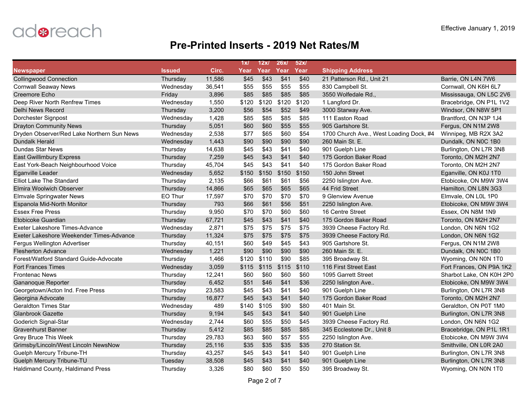

|                                            |               |        | 1x/   | 12x   | 26x/  | 52x/  |                                         |                          |
|--------------------------------------------|---------------|--------|-------|-------|-------|-------|-----------------------------------------|--------------------------|
| <b>Newspaper</b>                           | <b>Issued</b> | Circ.  | Year  | Year  | Year  | Year  | <b>Shipping Address</b>                 |                          |
| <b>Collingwood Connection</b>              | Thursday      | 11,586 | \$45  | \$43  | \$41  | \$40  | 21 Patterson Rd., Unit 21               | Barrie, ON L4N 7W6       |
| <b>Cornwall Seaway News</b>                | Wednesday     | 36,541 | \$55  | \$55  | \$55  | \$55  | 830 Campbell St.                        | Cornwall, ON K6H 6L7     |
| Creemore Echo                              | Friday        | 3,896  | \$85  | \$85  | \$85  | \$85  | 3550 Wolfedale Rd.                      | Mississauga, ON L5C 2V6  |
| Deep River North Renfrew Times             | Wednesday     | 1,550  | \$120 | \$120 | \$120 | \$120 | 1 Langford Dr.                          | Bracebridge, ON P1L 1V2  |
| Delhi News Record                          | Thursday      | 3,200  | \$56  | \$54  | \$52  | \$49  | 3000 Starway Ave.                       | Windsor, ON N8W 5P1      |
| Dorchester Signpost                        | Wednesday     | 1,428  | \$85  | \$85  | \$85  | \$85  | 111 Easton Road                         | Brantford, ON N3P 1J4    |
| <b>Drayton Community News</b>              | Thursday      | 5,051  | \$60  | \$60  | \$55  | \$55  | 905 Gartshore St.                       | Fergus, ON N1M 2W8       |
| Dryden Observer/Red Lake Northern Sun News | Wednesday     | 2,538  | \$77  | \$65  | \$60  | \$54  | 1700 Church Ave., West Loading Dock, #4 | Winnipeg, MB R2X 3A2     |
| <b>Dundalk Herald</b>                      | Wednesday     | 1,443  | \$90  | \$90  | \$90  | \$90  | 260 Main St. E.                         | Dundalk, ON N0C 1B0      |
| <b>Dundas Star News</b>                    | Thursday      | 14,638 | \$45  | \$43  | \$41  | \$40  | 901 Guelph Line                         | Burlington, ON L7R 3N8   |
| <b>East Gwillimbury Express</b>            | Thursday      | 7,259  | \$45  | \$43  | \$41  | \$40  | 175 Gordon Baker Road                   | Toronto, ON M2H 2N7      |
| East York-Beach Neighbourhood Voice        | Thursday      | 45,704 | \$45  | \$43  | \$41  | \$40  | 175 Gordon Baker Road                   | Toronto, ON M2H 2N7      |
| <b>Eganville Leader</b>                    | Wednesday     | 5,652  | \$150 | \$150 | \$150 | \$150 | 150 John Street                         | Eganville, ON K0J 1T0    |
| <b>Elliot Lake The Standard</b>            | Thursday      | 2,135  | \$66  | \$61  | \$61  | \$56  | 2250 Islington Ave.                     | Etobicoke, ON M9W 3W4    |
| <b>Elmira Woolwich Observer</b>            | Thursday      | 14,866 | \$65  | \$65  | \$65  | \$65  | 44 Frid Street                          | Hamilton, ON L8N 3G3     |
| <b>Elmvale Springwater News</b>            | EO Thur       | 17,597 | \$70  | \$70  | \$70  | \$70  | 9 Glenview Avenue                       | Elmvale, ON L0L 1P0      |
| Espanola Mid-North Monitor                 | Thursday      | 793    | \$66  | \$61  | \$56  | \$51  | 2250 Islington Ave.                     | Etobicoke, ON M9W 3W4    |
| <b>Essex Free Press</b>                    | Thursday      | 9,950  | \$70  | \$70  | \$60  | \$60  | 16 Centre Street                        | Essex, ON N8M 1N9        |
| Etobicoke Guardian                         | Thursday      | 67,721 | \$45  | \$43  | \$41  | \$40  | 175 Gordon Baker Road                   | Toronto, ON M2H 2N7      |
| Exeter Lakeshore Times-Advance             | Wednesday     | 2,871  | \$75  | \$75  | \$75  | \$75  | 3939 Cheese Factory Rd.                 | London, ON N6N 1G2       |
| Exeter Lakeshore Weekender Times-Advance   | Thursday      | 11,324 | \$75  | \$75  | \$75  | \$75  | 3939 Cheese Factory Rd.                 | London, ON N6N 1G2       |
| Fergus Wellington Advertiser               | Thursday      | 40,151 | \$60  | \$49  | \$45  | \$43  | 905 Gartshore St.                       | Fergus, ON N1M 2W8       |
| <b>Flesherton Advance</b>                  | Wednesday     | 1,221  | \$90  | \$90  | \$90  | \$90  | 260 Main St. E.                         | Dundalk, ON N0C 1B0      |
| Forest/Watford Standard Guide-Advocate     | Thursday      | 1,466  | \$120 | \$110 | \$90  | \$85  | 395 Broadway St.                        | Wyoming, ON N0N 1T0      |
| <b>Fort Frances Times</b>                  | Wednesday     | 3,059  | \$115 | \$115 | \$115 | \$110 | 116 First Street East                   | Fort Frances, ON P9A 1K2 |
| <b>Frontenac News</b>                      | Thursday      | 12,241 | \$60  | \$60  | \$60  | \$60  | 1095 Garrett Street                     | Sharbot Lake, ON K0H 2P0 |
| Gananoque Reporter                         | Thursday      | 6,452  | \$51  | \$46  | \$41  | \$36  | 2250 Islington Ave                      | Etobicoke, ON M9W 3W4    |
| Georgetown/Acton Ind. Free Press           | Thursday      | 23,583 | \$45  | \$43  | \$41  | \$40  | 901 Guelph Line                         | Burlington, ON L7R 3N8   |
| Georgina Advocate                          | Thursday      | 16,877 | \$45  | \$43  | \$41  | \$40  | 175 Gordon Baker Road                   | Toronto, ON M2H 2N7      |
| <b>Geraldton Times Star</b>                | Wednesday     | 489    | \$140 | \$105 | \$90  | \$80  | 401 Main St.                            | Geraldton, ON P0T 1M0    |
| <b>Glanbrook Gazette</b>                   | Thursday      | 9,194  | \$45  | \$43  | \$41  | \$40  | 901 Guelph Line                         | Burlington, ON L7R 3N8   |
| Goderich Signal-Star                       | Wednesday     | 2,744  | \$60  | \$55  | \$50  | \$45  | 3939 Cheese Factory Rd.                 | London, ON N6N 1G2       |
| <b>Gravenhurst Banner</b>                  | Thursday      | 5,412  | \$85  | \$85  | \$85  | \$85  | 345 Ecclestone Dr., Unit 8              | Bracebridge, ON P1L 1R1  |
| Grey Bruce This Week                       | Thursday      | 29,783 | \$63  | \$60  | \$57  | \$55  | 2250 Islington Ave.                     | Etobicoke, ON M9W 3W4    |
| Grimsby/Lincoln/West Lincoln NewsNow       | Thursday      | 25,116 | \$35  | \$35  | \$35  | \$35  | 270 Station St.                         | Smithville, ON L0R 2A0   |
| Guelph Mercury Tribune-TH                  | Thursday      | 43,257 | \$45  | \$43  | \$41  | \$40  | 901 Guelph Line                         | Burlington, ON L7R 3N8   |
| <b>Guelph Mercury Tribune-TU</b>           | Tuesday       | 38,508 | \$45  | \$43  | \$41  | \$40  | 901 Guelph Line                         | Burlington, ON L7R 3N8   |
| Haldimand County, Haldimand Press          | Thursday      | 3,326  | \$80  | \$60  | \$50  | \$50  | 395 Broadway St.                        | Wyoming, ON N0N 1T0      |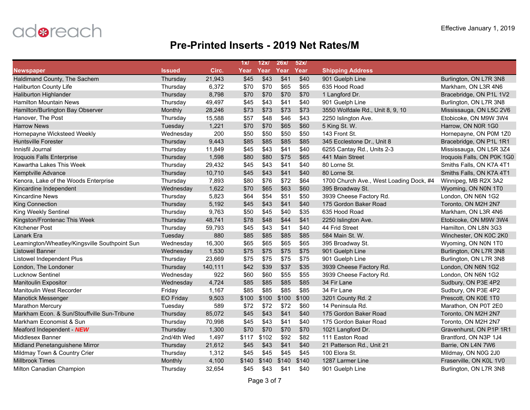

|                                               |                  |         | 1x/   | 12x   | 26x/  | 52x/  |                                         |                            |
|-----------------------------------------------|------------------|---------|-------|-------|-------|-------|-----------------------------------------|----------------------------|
| <b>Newspaper</b>                              | Issued           | Circ.   | Year  | Year  | Year  | Year  | <b>Shipping Address</b>                 |                            |
| Haldimand County, The Sachem                  | Thursday         | 21,943  | \$45  | \$43  | \$41  | \$40  | 901 Guelph Line                         | Burlington, ON L7R 3N8     |
| Haliburton County Life                        | Thursday         | 6,372   | \$70  | \$70  | \$65  | \$65  | 635 Hood Road                           | Markham, ON L3R 4N6        |
| <b>Haliburton Highlander</b>                  | Thursday         | 8,798   | \$70  | \$70  | \$70  | \$70  | 1 Langford Dr.                          | Bracebridge, ON P1L 1V2    |
| <b>Hamilton Mountain News</b>                 | Thursday         | 49,497  | \$45  | \$43  | \$41  | \$40  | 901 Guelph Line                         | Burlington, ON L7R 3N8     |
| Hamilton/Burlington Bay Observer              | Monthly          | 28,246  | \$73  | \$73  | \$73  | \$73  | 3550 Wolfdale Rd., Unit 8, 9, 10        | Mississauga, ON L5C 2V6    |
| Hanover, The Post                             | Thursday         | 15,588  | \$57  | \$48  | \$46  | \$43  | 2250 Islington Ave.                     | Etobicoke, ON M9W 3W4      |
| <b>Harrow News</b>                            | Tuesday          | 1,221   | \$70  | \$70  | \$65  | \$60  | 5 King St. W.                           | Harrow, ON N0R 1G0         |
| Hornepayne Wicksteed Weekly                   | Wednesday        | 200     | \$50  | \$50  | \$50  | \$50  | 143 Front St.                           | Hornepayne, ON P0M 1Z0     |
| <b>Huntsville Forester</b>                    | Thursday         | 9,443   | \$85  | \$85  | \$85  | \$85  | 345 Ecclestone Dr., Unit 8              | Bracebridge, ON P1L 1R1    |
| Innisfil Journal                              | Thursday         | 11,849  | \$45  | \$43  | \$41  | \$40  | 6255 Cantay Rd., Units 2-3              | Mississauga, ON L5R 3Z4    |
| Iroquois Falls Enterprise                     | Thursday         | 1,598   | \$80  | \$80  | \$75  | \$65  | 441 Main Street                         | Iroquois Falls, ON P0K 1G0 |
| Kawartha Lakes This Week                      | Thursday         | 29,432  | \$45  | \$43  | \$41  | \$40  | 80 Lorne St.                            | Smiths Falls, ON K7A 4T1   |
| <b>Kemptville Advance</b>                     | Thursday         | 10,710  | \$45  | \$43  | \$41  | \$40  | 80 Lorne St.                            | Smiths Falls, ON K7A 4T1   |
| Kenora, Lake of the Woods Enterprise          | Thursday         | 7,893   | \$80  | \$76  | \$72  | \$64  | 1700 Church Ave., West Loading Dock, #4 | Winnipeg, MB R2X 3A2       |
| Kincardine Independent                        | Wednesday        | 1,622   | \$70  | \$65  | \$63  | \$60  | 395 Broadway St.                        | Wyoming, ON N0N 1T0        |
| <b>Kincardine News</b>                        | Thursday         | 5,823   | \$64  | \$54  | \$51  | \$50  | 3939 Cheese Factory Rd.                 | London, ON N6N 1G2         |
| <b>King Connection</b>                        | Thursday         | 5,192   | \$45  | \$43  | \$41  | \$40  | 175 Gordon Baker Road                   | Toronto, ON M2H 2N7        |
| King Weekly Sentinel                          | Thursday         | 9,763   | \$50  | \$45  | \$40  | \$35  | 635 Hood Road                           | Markham, ON L3R 4N6        |
| Kingston/Frontenac This Week                  | Thursday         | 48,741  | \$78  | \$48  | \$44  | \$41  | 2250 Islington Ave.                     | Etobicoke, ON M9W 3W4      |
| Kitchener Post                                | Thursday         | 59,793  | \$45  | \$43  | \$41  | \$40  | 44 Frid Street                          | Hamilton, ON L8N 3G3       |
| Lanark Era                                    | Tuesday          | 880     | \$85  | \$85  | \$85  | \$85  | 584 Main St. W.                         | Winchester, ON K0C 2K0     |
| Leamington/Wheatley/Kingsville Southpoint Sun | Wednesday        | 16,300  | \$65  | \$65  | \$65  | \$65  | 395 Broadway St.                        | Wyoming, ON N0N 1T0        |
| Listowel Banner                               | Wednesday        | 1,530   | \$75  | \$75  | \$75  | \$75  | 901 Guelph Line                         | Burlington, ON L7R 3N8     |
| Listowel Independent Plus                     | Thursday         | 23,669  | \$75  | \$75  | \$75  | \$75  | 901 Guelph Line                         | Burlington, ON L7R 3N8     |
| London, The Londoner                          | Thursday         | 140,111 | \$42  | \$39  | \$37  | \$35  | 3939 Cheese Factory Rd.                 | London, ON N6N 1G2         |
| <b>Lucknow Sentinel</b>                       | Wednesday        | 922     | \$60  | \$60  | \$55  | \$55  | 3939 Cheese Factory Rd.                 | London, ON N6N 1G2         |
| <b>Manitoulin Expositor</b>                   | Wednesday        | 4,724   | \$85  | \$85  | \$85  | \$85  | 34 Fir Lane                             | Sudbury, ON P3E 4P2        |
| Manitoulin West Recorder                      | Friday           | 1,167   | \$85  | \$85  | \$85  | \$85  | 34 Fir Lane                             | Sudbury, ON P3E 4P2        |
| <b>Manotick Messenger</b>                     | <b>EO Friday</b> | 9,503   | \$100 | \$100 | \$100 | \$100 | 3201 County Rd. 2                       | Prescott, ON K0E 1T0       |
| <b>Marathon Mercury</b>                       | Tuesday          | 589     | \$72  | \$72  | \$72  | \$60  | 14 Peninsula Rd.                        | Marathon, ON P0T 2E0       |
| Markham Econ. & Sun/Stouffville Sun-Tribune   | Thursday         | 85,072  | \$45  | \$43  | \$41  | \$40  | 175 Gordon Baker Road                   | Toronto, ON M2H 2N7        |
| Markham Economist & Sun                       | Thursday         | 70,998  | \$45  | \$43  | \$41  | \$40  | 175 Gordon Baker Road                   | Toronto, ON M2H 2N7        |
| Meaford Independent - NEW                     | Thursday         | 1,300   | \$70  | \$70  | \$70  | \$70  | 1021 Langford Dr.                       | Gravenhurst, ON P1P 1R1    |
| Middlesex Banner                              | 2nd/4th Wed      | 1,497   | \$117 | \$102 | \$92  | \$82  | 111 Easton Road                         | Brantford, ON N3P 1J4      |
| Midland Penetanguishene Mirror                | Thursday         | 21,612  | \$45  | \$43  | \$41  | \$40  | 21 Patterson Rd., Unit 21               | Barrie, ON L4N 7W6         |
| Mildmay Town & Country Crier                  | Thursday         | 1,312   | \$45  | \$45  | \$45  | \$45  | 100 Elora St.                           | Mildmay, ON N0G 2J0        |
| <b>Millbrook Times</b>                        | Monthly          | 4,100   | \$140 | \$140 | \$140 | \$140 | 1287 Larmer Line                        | Fraserville, ON K0L 1V0    |
| Milton Canadian Champion                      | Thursday         | 32,654  | \$45  | \$43  | \$41  | \$40  | 901 Guelph Line                         | Burlington, ON L7R 3N8     |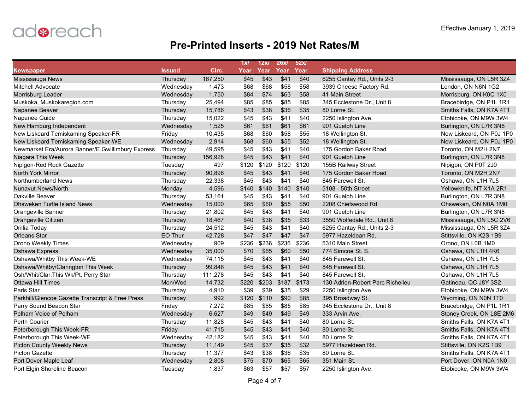

|                                                   |               |         | 1x/   | 12x   | 26x/  | 52x/  |                                  |                          |
|---------------------------------------------------|---------------|---------|-------|-------|-------|-------|----------------------------------|--------------------------|
| <b>Newspaper</b>                                  | <b>Issued</b> | Circ.   | Year  | Year  | Year  | Year  | <b>Shipping Address</b>          |                          |
| Mississauga News                                  | Thursday      | 167,250 | \$45  | \$43  | \$41  | \$40  | 6255 Cantay Rd., Units 2-3       | Mississauga, ON L5R 3Z4  |
| <b>Mitchell Advocate</b>                          | Wednesday     | 1,473   | \$68  | \$68  | \$58  | \$58  | 3939 Cheese Factory Rd.          | London, ON N6N 1G2       |
| Morrisburg Leader                                 | Wednesday     | 1,750   | \$84  | \$74  | \$63  | \$58  | 41 Main Street                   | Morrisburg, ON K0C 1X0   |
| Muskoka, Muskokaregion.com                        | Thursday      | 25,494  | \$85  | \$85  | \$85  | \$85  | 345 Ecclestone Dr., Unit 8       | Bracebirdge, ON P1L 1R1  |
| Napanee Beaver                                    | Thursday      | 15,786  | \$43  | \$38  | \$36  | \$35  | 80 Lorne St.                     | Smiths Falls, ON K7A 4T1 |
| Napanee Guide                                     | Thursday      | 15,022  | \$45  | \$43  | \$41  | \$40  | 2250 Islington Ave.              | Etobicoke, ON M9W 3W4    |
| New Hamburg Independent                           | Wednesday     | 1,525   | \$61  | \$61  | \$61  | \$61  | 901 Guelph Line                  | Burlington, ON L7R 3N8   |
| New Liskeard Temiskaming Speaker-FR               | Friday        | 10,435  | \$68  | \$60  | \$58  | \$55  | 18 Wellington St.                | New Liskeard, ON P0J 1P0 |
| New Liskeard Temiskaming Speaker-WE               | Wednesday     | 2,914   | \$68  | \$60  | \$55  | \$52  | 18 Wellington St.                | New Liskeard, ON P0J 1P0 |
| Newmarket Era/Aurora Banner/E.Gwillimbury Express | Thursday      | 49,595  | \$45  | \$43  | \$41  | \$40  | 175 Gordon Baker Road            | Toronto, ON M2H 2N7      |
| Niagara This Week                                 | Thursday      | 156,928 | \$45  | \$43  | \$41  | \$40  | 901 Guelph Line                  | Burlington, ON L7R 3N8   |
| Nipigon-Red Rock Gazette                          | Tuesday       | 497     | \$120 | \$120 | \$120 | \$120 | 155B Railway Street              | Nipigon, ON P0T 2J0      |
| <b>North York Mirror</b>                          | Thursday      | 90,896  | \$45  | \$43  | \$41  | \$40  | 175 Gordon Baker Road            | Toronto, ON M2H 2N7      |
| Northumberland News                               | Thursday      | 22,338  | \$45  | \$43  | \$41  | \$40  | 845 Farewell St.                 | Oshawa, ON L1H 7L5       |
| <b>Nunavut News/North</b>                         | Monday        | 4,596   | \$140 | \$140 | \$140 | \$140 | 5108 - 50th Street               | Yellowknife, NT X1A 2R1  |
| Oakville Beaver                                   | Thursday      | 53,161  | \$45  | \$43  | \$41  | \$40  | 901 Guelph Line                  | Burlington, ON L7R 3N8   |
| <b>Ohsweken Turtle Island News</b>                | Wednesday     | 15,000  | \$65  | \$60  | \$55  | \$50  | 2208 Chiefswood Rd.              | Ohsweken, ON N0A 1M0     |
| Orangeville Banner                                | Thursday      | 21,802  | \$45  | \$43  | \$41  | \$40  | 901 Guelph Line                  | Burlington, ON L7R 3N8   |
| Orangeville Citizen                               | Thursday      | 18,467  | \$40  | \$38  | \$35  | \$33  | 3550 Wolfedale Rd., Unit 8       | Mississauga, ON L5C 2V6  |
| Orillia Today                                     | Thursday      | 24,512  | \$45  | \$43  | \$41  | \$40  | 6255 Cantay Rd., Units 2-3       | Mississauga, ON L5R 3Z4  |
| <b>Orleans Star</b>                               | EO Thur       | 42,728  | \$47  | \$47  | \$47  | \$47  | 5977 Hazeldean Rd.               | Stittsville, ON K2S 1B9  |
| Orono Weekly Times                                | Wednesday     | 909     | \$236 | \$236 | \$236 | \$236 | 5310 Main Street                 | Orono, ON L0B 1M0        |
| Oshawa Express                                    | Wednesday     | 35,000  | \$70  | \$65  | \$60  | \$50  | 774 Simcoe St. S.                | Oshawa, ON L1H 4K6       |
| Oshawa/Whitby This Week-WE                        | Wednesday     | 74,115  | \$45  | \$43  | \$41  | \$40  | 845 Farewell St.                 | Oshawa, ON L1H 7L5       |
| Oshawa/Whitby/Clarington This Week                | Thursday      | 99,846  | \$45  | \$43  | \$41  | \$40  | 845 Farewell St.                 | Oshawa, ON L1H 7L5       |
| Osh/Whit/Clar.This Wk/Pt. Perry Star              | Thursday      | 111,278 | \$45  | \$43  | \$41  | \$40  | 845 Farewell St.                 | Oshawa, ON L1H 7L5       |
| <b>Ottawa Hill Times</b>                          | Mon/Wed       | 14,732  | \$220 | \$203 | \$187 | \$173 | 130 Adrien-Robert Parc Richelieu | Gatineau, QC J8Y 3S2     |
| Paris Star                                        | Thursday      | 4,910   | \$39  | \$39  | \$35  | \$29  | 2250 Islington Ave.              | Etobicoke, ON M9W 3W4    |
| Parkhill/Glencoe Gazette Transcript & Free Press  | Thursday      | 992     | \$120 | \$110 | \$90  | \$85  | 395 Broadway St.                 | Wyoming, ON N0N 1T0      |
| Parry Sound Beacon Star                           | Friday        | 7,272   | \$85  | \$85  | \$85  | \$85  | 345 Ecclestone Dr., Unit 8       | Bracebridge, ON P1L 1R1  |
| Pelham Voice of Pelham                            | Wednesday     | 6,627   | \$49  | \$49  | \$49  | \$49  | 333 Arvin Ave.                   | Stoney Creek, ON L8E 2M6 |
| <b>Perth Courier</b>                              | Thursday      | 11,828  | \$45  | \$43  | \$41  | \$40  | 80 Lorne St.                     | Smiths Falls, ON K7A 4T1 |
| Peterborough This Week-FR                         | Friday        | 41,715  | \$45  | \$43  | \$41  | \$40  | 80 Lorne St.                     | Smiths Falls, ON K7A 4T1 |
| Peterborough This Week-WE                         | Wednesday     | 42,182  | \$45  | \$43  | \$41  | \$40  | 80 Lorne St.                     | Smiths Falls, ON K7A 4T1 |
| <b>Picton County Weekly News</b>                  | Thursday      | 11,149  | \$45  | \$37  | \$35  | \$32  | 5977 Hazeldean Rd.               | Stittsville, ON K2S 1B9  |
| <b>Picton Gazette</b>                             | Thursday      | 11,377  | \$43  | \$38  | \$36  | \$35  | 80 Lorne St.                     | Smiths Falls, ON K7A 4T1 |
| Port Dover Maple Leaf                             | Wednesday     | 2,808   | \$75  | \$70  | \$65  | \$65  | 351 Main St.                     | Port Dover, ON N0A 1N0   |
| Port Elgin Shoreline Beacon                       | Tuesday       | 1,837   | \$63  | \$57  | \$57  | \$57  | 2250 Islington Ave.              | Etobicoke, ON M9W 3W4    |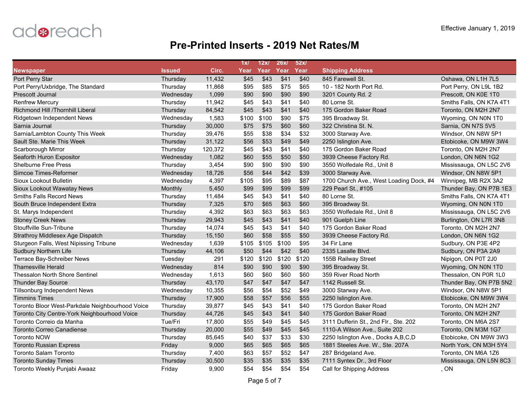

|                                                 |               |         | 1x/   | 12x   | 26x/  | 52x/  |                                         |                          |
|-------------------------------------------------|---------------|---------|-------|-------|-------|-------|-----------------------------------------|--------------------------|
| <b>Newspaper</b>                                | <b>Issued</b> | Circ.   | Year  | Year  | Year  | Year  | <b>Shipping Address</b>                 |                          |
| Port Perry Star                                 | Thursday      | 11,432  | \$45  | \$43  | \$41  | \$40  | 845 Farewell St.                        | Oshawa, ON L1H 7L5       |
| Port Perry/Uxbridge, The Standard               | Thursday      | 11,868  | \$95  | \$85  | \$75  | \$65  | 10 - 182 North Port Rd.                 | Port Perry, ON L9L 1B2   |
| <b>Prescott Journal</b>                         | Wednesday     | 1,099   | \$90  | \$90  | \$90  | \$90  | 3201 County Rd. 2                       | Prescott, ON K0E 1T0     |
| <b>Renfrew Mercury</b>                          | Thursday      | 11,942  | \$45  | \$43  | \$41  | \$40  | 80 Lorne St.                            | Smiths Falls, ON K7A 4T1 |
| Richmond Hill /Thornhill Liberal                | Thursday      | 84,542  | \$45  | \$43  | \$41  | \$40  | 175 Gordon Baker Road                   | Toronto, ON M2H 2N7      |
| Ridgetown Independent News                      | Wednesday     | 1,583   | \$100 | \$100 | \$90  | \$75  | 395 Broadway St.                        | Wyoming, ON N0N 1T0      |
| Sarnia Journal                                  | Thursday      | 30,000  | \$75  | \$75  | \$60  | \$60  | 322 Christina St. N.                    | Sarnia, ON N7S 5V5       |
| Sarnia/Lambton County This Week                 | Thursday      | 39,476  | \$55  | \$38  | \$34  | \$32  | 3000 Starway Ave.                       | Windsor, ON N8W 5P1      |
| Sault Ste. Marie This Week                      | Thursday      | 31,122  | \$56  | \$53  | \$49  | \$49  | 2250 Islington Ave.                     | Etobicoke, ON M9W 3W4    |
| Scarborough Mirror                              | Thursday      | 120,372 | \$45  | \$43  | \$41  | \$40  | 175 Gordon Baker Road                   | Toronto, ON M2H 2N7      |
| Seaforth Huron Expositor                        | Wednesday     | 1,082   | \$60  | \$55  | \$50  | \$50  | 3939 Cheese Factory Rd.                 | London, ON N6N 1G2       |
| <b>Shelburne Free Press</b>                     | Thursday      | 3,454   | \$90  | \$90  | \$90  | \$90  | 3550 Wolfedale Rd., Unit 8              | Mississauga, ON L5C 2V6  |
| Simcoe Times-Reformer                           | Wednesday     | 18,726  | \$56  | \$44  | \$42  | \$39  | 3000 Starway Ave.                       | Windsor, ON N8W 5P1      |
| Sioux Lookout Bulletin                          | Wednesday     | 4,397   | \$105 | \$95  | \$89  | \$87  | 1700 Church Ave., West Loading Dock, #4 | Winnipeg, MB R2X 3A2     |
| Sioux Lookout Wawatay News                      | Monthly       | 5,450   | \$99  | \$99  | \$99  | \$99  | 229 Pearl St., #105                     | Thunder Bay, ON P7B 1E3  |
| <b>Smiths Falls Record News</b>                 | Thursday      | 11,484  | \$45  | \$43  | \$41  | \$40  | 80 Lorne St.                            | Smiths Falls, ON K7A 4T1 |
| South Bruce Independent Extra                   | Thursday      | 7,325   | \$70  | \$65  | \$63  | \$60  | 395 Broadway St.                        | Wyoming, ON N0N 1T0      |
| St. Marys Independent                           | Thursday      | 4,392   | \$63  | \$63  | \$63  | \$63  | 3550 Wolfedale Rd., Unit 8              | Mississauga, ON L5C 2V6  |
| <b>Stoney Creek News</b>                        | Thursday      | 29,943  | \$45  | \$43  | \$41  | \$40  | 901 Guelph Line                         | Burlington, ON L7R 3N8   |
| Stouffville Sun-Tribune                         | Thursday      | 14,074  | \$45  | \$43  | \$41  | \$40  | 175 Gordon Baker Road                   | Toronto, ON M2H 2N7      |
| Strathroy Middlesex Age Dispatch                | Thursday      | 15,150  | \$60  | \$58  | \$55  | \$50  | 3939 Cheese Factory Rd.                 | London, ON N6N 1G2       |
| Sturgeon Falls, West Nipissing Tribune          | Wednesday     | 1,639   | \$105 | \$105 | \$100 | \$95  | 34 Fir Lane                             | Sudbury, ON P3E 4P2      |
| <b>Sudbury Northern Life</b>                    | Thursday      | 44,106  | \$50  | \$44  | \$42  | \$40  | 2335 Lasalle Blvd.                      | Sudbury, ON P3A 2A9      |
| Terrace Bay-Schreiber News                      | Tuesday       | 291     | \$120 | \$120 | \$120 | \$120 | 155B Railway Street                     | Nipigon, ON P0T 2J0      |
| <b>Thamesville Herald</b>                       | Wednesday     | 814     | \$90  | \$90  | \$90  | \$90  | 395 Broadway St.                        | Wyoming, ON N0N 1T0      |
| <b>Thessalon North Shore Sentinel</b>           | Wednesday     | 1,613   | \$60  | \$60  | \$60  | \$60  | 359 River Road North                    | Thessalon, ON P0R 1L0    |
| <b>Thunder Bay Source</b>                       | Thursday      | 43,170  | \$47  | \$47  | \$47  | \$47  | 1142 Russell St.                        | Thunder Bay, ON P7B 5N2  |
| <b>Tillsonburg Independent News</b>             | Wednesday     | 10,355  | \$56  | \$54  | \$52  | \$49  | 3000 Starway Ave.                       | Windsor, ON N8W 5P1      |
| <b>Timmins Times</b>                            | Thursday      | 17,900  | \$58  | \$57  | \$56  | \$55  | 2250 Islington Ave.                     | Etobicoke, ON M9W 3W4    |
| Toronto Bloor West-Parkdale Neighbourhood Voice | Thursday      | 39,877  | \$45  | \$43  | \$41  | \$40  | 175 Gordon Baker Road                   | Toronto, ON M2H 2N7      |
| Toronto City Centre-York Neighbourhood Voice    | Thursday      | 44,726  | \$45  | \$43  | \$41  | \$40  | 175 Gordon Baker Road                   | Toronto, ON M2H 2N7      |
| Toronto Correio da Manha                        | Tue/Fri       | 17,800  | \$55  | \$49  | \$45  | \$45  | 3111 Dufferin St., 2nd Flr., Ste. 202   | Toronto, ON M6A 2S7      |
| <b>Toronto Correo Canadiense</b>                | Thursday      | 20,000  | \$55  | \$49  | \$45  | \$45  | 1110-A Wilson Ave., Suite 202           | Toronto, ON M3M 1G7      |
| <b>Toronto NOW</b>                              | Thursday      | 85,645  | \$40  | \$37  | \$33  | \$30  | 2250 Islington Ave., Docks A, B, C, D   | Etobicoke, ON M9W 3W3    |
| <b>Toronto Russian Express</b>                  | Friday        | 9,000   | \$65  | \$65  | \$65  | \$65  | 1881 Steeles Ave. W., Ste. 207A         | North York, ON M3H 5Y4   |
| Toronto Salam Toronto                           | Thursday      | 7,400   | \$63  | \$57  | \$52  | \$47  | 287 Bridgeland Ave.                     | Toronto, ON M6A 1Z6      |
| <b>Toronto Sunday Times</b>                     | Thursday      | 30,500  | \$35  | \$35  | \$35  | \$35  | 7111 Syntex Dr., 3rd Floor              | Mississauga, ON L5N 8C3  |
| Toronto Weekly Punjabi Awaaz                    | Friday        | 9,900   | \$54  | \$54  | \$54  | \$54  | Call for Shipping Address               | , ON                     |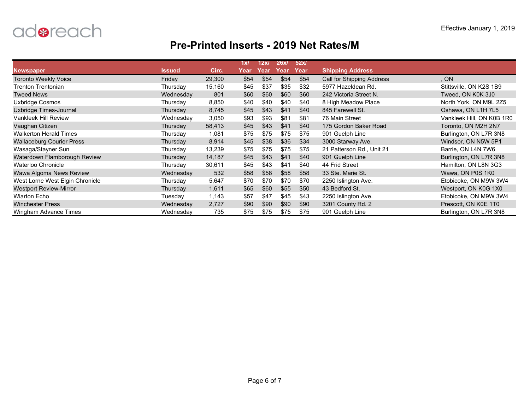

|                                  |               |        | 1x/  | 12x  | 26x/ | 52x/ |                           |                           |
|----------------------------------|---------------|--------|------|------|------|------|---------------------------|---------------------------|
| <b>Newspaper</b>                 | <b>Issued</b> | Circ.  | Year | Year | Year | Year | <b>Shipping Address</b>   |                           |
| <b>Toronto Weekly Voice</b>      | Friday        | 29,300 | \$54 | \$54 | \$54 | \$54 | Call for Shipping Address | . ON                      |
| Trenton Trentonian               | Thursday      | 15,160 | \$45 | \$37 | \$35 | \$32 | 5977 Hazeldean Rd.        | Stittsville, ON K2S 1B9   |
| <b>Tweed News</b>                | Wednesday     | 801    | \$60 | \$60 | \$60 | \$60 | 242 Victoria Street N.    | Tweed, ON K0K 3J0         |
| Uxbridge Cosmos                  | Thursday      | 8,850  | \$40 | \$40 | \$40 | \$40 | 8 High Meadow Place       | North York, ON M9L 2Z5    |
| Uxbridge Times-Journal           | Thursday      | 8,745  | \$45 | \$43 | \$41 | \$40 | 845 Farewell St.          | Oshawa, ON L1H 7L5        |
| Vankleek Hill Review             | Wednesday     | 3,050  | \$93 | \$93 | \$81 | \$81 | 76 Main Street            | Vankleek Hill, ON K0B 1R0 |
| Vaughan Citizen                  | Thursday      | 58,413 | \$45 | \$43 | \$41 | \$40 | 175 Gordon Baker Road     | Toronto, ON M2H 2N7       |
| <b>Walkerton Herald Times</b>    | Thursday      | 1,081  | \$75 | \$75 | \$75 | \$75 | 901 Guelph Line           | Burlington, ON L7R 3N8    |
| <b>Wallaceburg Courier Press</b> | Thursday      | 8,914  | \$45 | \$38 | \$36 | \$34 | 3000 Starway Ave.         | Windsor, ON N5W 5P1       |
| Wasaga/Stayner Sun               | Thursday      | 13,239 | \$75 | \$75 | \$75 | \$75 | 21 Patterson Rd., Unit 21 | Barrie, ON L4N 7W6        |
| Waterdown Flamborough Review     | Thursday      | 14,187 | \$45 | \$43 | \$41 | \$40 | 901 Guelph Line           | Burlington, ON L7R 3N8    |
| Waterloo Chronicle               | Thursday      | 30,611 | \$45 | \$43 | \$41 | \$40 | 44 Frid Street            | Hamilton, ON L8N 3G3      |
| Wawa Algoma News Review          | Wednesday     | 532    | \$58 | \$58 | \$58 | \$58 | 33 Ste. Marie St.         | Wawa, ON P0S 1K0          |
| West Lorne West Elgin Chronicle  | Thursday      | 5,647  | \$70 | \$70 | \$70 | \$70 | 2250 Islington Ave.       | Etobicoke, ON M9W 3W4     |
| <b>Westport Review-Mirror</b>    | Thursday      | 1,611  | \$65 | \$60 | \$55 | \$50 | 43 Bedford St.            | Westport, ON K0G 1X0      |
| <b>Wiarton Echo</b>              | Tuesday       | 1,143  | \$57 | \$47 | \$45 | \$43 | 2250 Islington Ave.       | Etobicoke, ON M9W 3W4     |
| <b>Winchester Press</b>          | Wednesday     | 2,727  | \$90 | \$90 | \$90 | \$90 | 3201 County Rd. 2         | Prescott, ON K0E 1T0      |
| Wingham Advance Times            | Wednesday     | 735    | \$75 | \$75 | \$75 | \$75 | 901 Guelph Line           | Burlington, ON L7R 3N8    |